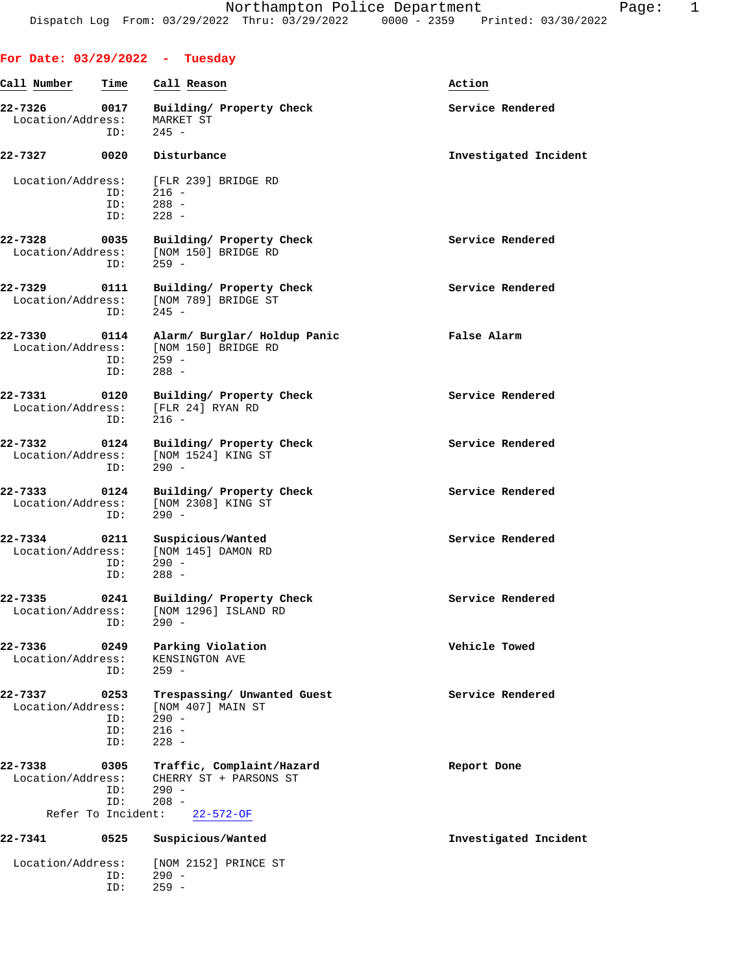**For Date: 03/29/2022 - Tuesday**

ID: 259 -

## **Call Number Time Call Reason Action 22-7326 0017 Building/ Property Check Service Rendered** Location/Address: MARKET ST ID: 245 - **22-7327 0020 Disturbance Investigated Incident** Location/Address: [FLR 239] BRIDGE RD ID: 216 - ID: 288 -<br>ID: 228 - $228 -$ **22-7328 0035 Building/ Property Check Service Rendered** Location/Address: [NOM 150] BRIDGE RD ID: 259 - **22-7329 0111 Building/ Property Check Service Rendered** Location/Address: [NOM 789] BRIDGE ST<br>ID: 245 - $245 -$ **22-7330 0114 Alarm/ Burglar/ Holdup Panic False Alarm** Location/Address: [NOM 150] BRIDGE RD ID: 259 - ID: 288 - **22-7331 0120 Building/ Property Check Service Rendered** Location/Address: [FLR 24] RYAN RD ID: 216 - **22-7332 0124 Building/ Property Check Service Rendered** Location/Address: [NOM 1524] KING ST<br>ID: 290 - $ID:$ **22-7333 0124 Building/ Property Check Service Rendered** Location/Address: [NOM 2308] KING ST ID: 290 - **22-7334 0211 Suspicious/Wanted Service Rendered** Location/Address: [NOM 145] DAMON RD ID: 290 - ID: 288 - **22-7335 0241 Building/ Property Check Service Rendered** Location/Address: [NOM 1296] ISLAND RD ID: 290 - **22-7336 0249 Parking Violation Vehicle Towed** Location/Address: KENSINGTON AVE ID: 259 - **22-7337 0253 Trespassing/ Unwanted Guest Service Rendered** Location/Address: [NOM 407] MAIN ST ID: 290 - ID: 216 - ID: 228 - **22-7338** 0305 **Traffic, Complaint/Hazard Report Done** Report Done Report Done CHERRY ST + PARSONS ST ID: 290 -<br>ID: 208 - $208$  -<br>ent:  $22-572-OF$ Refer To Incident: **22-7341 0525 Suspicious/Wanted Investigated Incident** Location/Address: [NOM 2152] PRINCE ST ID: 290 -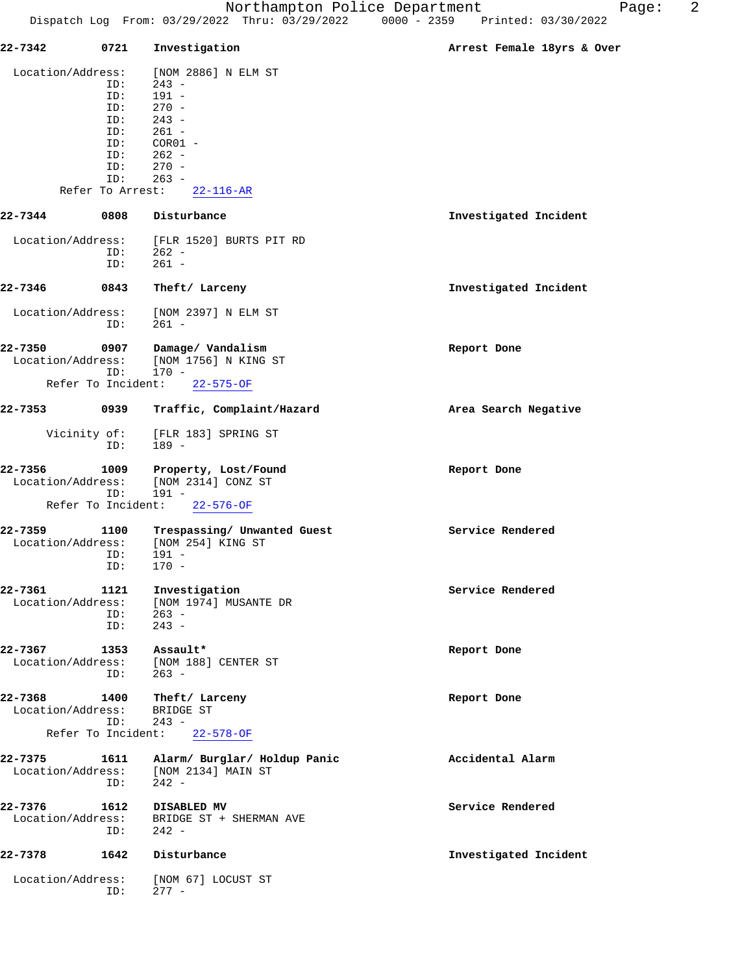| 22-7342            | 0721                    | Investigation                                    | Arrest Female 18yrs & Over |
|--------------------|-------------------------|--------------------------------------------------|----------------------------|
| Location/Address:  |                         | [NOM 2886] N ELM ST                              |                            |
|                    | ID:                     | $243 -$                                          |                            |
|                    | ID:                     | $191 -$                                          |                            |
|                    | ID:                     | $270 -$                                          |                            |
|                    | ID:                     | $243 -$                                          |                            |
|                    | ID:                     | $261 -$                                          |                            |
|                    | ID:                     | $COR01 -$                                        |                            |
|                    | ID:                     | $262 -$                                          |                            |
|                    | ID:                     | $270 -$                                          |                            |
|                    | ID:<br>Refer To Arrest: | $263 -$                                          |                            |
|                    |                         | $22 - 116 - AR$                                  |                            |
| 22-7344            | 0808                    | Disturbance                                      | Investigated Incident      |
| Location/Address:  |                         | [FLR 1520] BURTS PIT RD                          |                            |
|                    | ID:                     | $262 -$                                          |                            |
|                    | ID:                     | $261 -$                                          |                            |
| 22-7346            | 0843                    | Theft/ Larceny                                   | Investigated Incident      |
| Location/Address:  |                         | [NOM 2397] N ELM ST                              |                            |
|                    | ID:                     | $261 -$                                          |                            |
| 22-7350            | 0907                    | Damage/ Vandalism                                | Report Done                |
| Location/Address:  |                         | [NOM 1756] N KING ST                             |                            |
|                    | ID:                     | $170 -$                                          |                            |
| Refer To Incident: |                         | $22 - 575 - OF$                                  |                            |
| 22-7353            | 0939                    | Traffic, Complaint/Hazard                        | Area Search Negative       |
| Vicinity of:       | ID:                     | [FLR 183] SPRING ST<br>$189 -$                   |                            |
| 22-7356            | 1009                    | Property, Lost/Found                             | Report Done                |
| Location/Address:  |                         | [NOM 2314] CONZ ST                               |                            |
| Refer To Incident: | ID:                     | $191 -$<br>$22 - 576 - OF$                       |                            |
| 22-7359            | 1100                    |                                                  | Service Rendered           |
| Location/Address:  |                         | Trespassing/ Unwanted Guest<br>[NOM 254] KING ST |                            |
|                    | ID:                     | $191 -$                                          |                            |
|                    | ID:                     | $170 -$                                          |                            |
|                    |                         |                                                  |                            |
| 22-7361            | 1121                    | Investigation                                    | Service Rendered           |
| Location/Address:  |                         | [NOM 1974] MUSANTE DR                            |                            |
|                    | ID:                     | $263 -$                                          |                            |
|                    | ID:                     | $243 -$                                          |                            |
| 22-7367            | 1353                    | Assault*                                         | Report Done                |
| Location/Address:  |                         | [NOM 188] CENTER ST                              |                            |
|                    | ID:                     | $263 -$                                          |                            |
|                    |                         |                                                  |                            |
| 22-7368            | 1400                    | Theft/ Larceny                                   | Report Done                |
| Location/Address:  |                         | BRIDGE ST                                        |                            |
| Refer To Incident: | ID:                     | $243 -$<br>$22 - 578 - OF$                       |                            |
|                    |                         |                                                  |                            |
| 22-7375            | 1611                    | Alarm/ Burglar/ Holdup Panic                     | Accidental Alarm           |
| Location/Address:  |                         | [NOM 2134] MAIN ST                               |                            |
|                    | ID:                     | $242 -$                                          |                            |
| 22-7376            | 1612                    | DISABLED MV                                      | Service Rendered           |
| Location/Address:  |                         | BRIDGE ST + SHERMAN AVE                          |                            |
|                    | ID:                     | $242 -$                                          |                            |
| 22-7378            | 1642                    | Disturbance                                      | Investigated Incident      |
|                    |                         |                                                  |                            |
| Location/Address:  |                         | [NOM 67] LOCUST ST                               |                            |
|                    | ID:                     | $277 -$                                          |                            |
|                    |                         |                                                  |                            |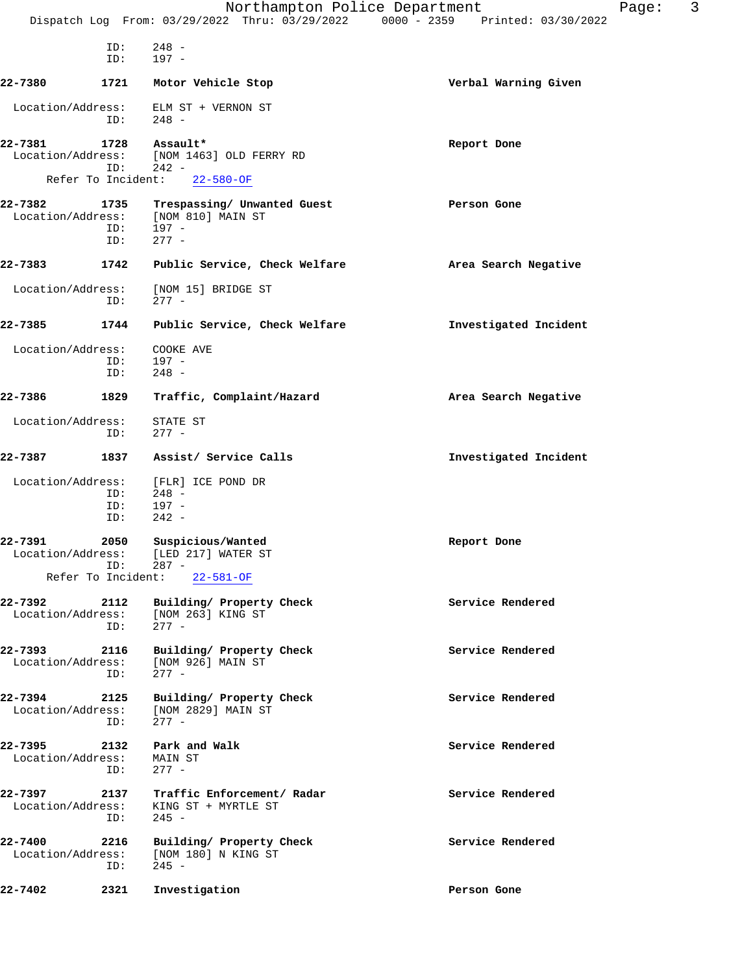|                              |                    | Northampton Police Department<br>Dispatch Log From: 03/29/2022 Thru: 03/29/2022 0000 - 2359 Printed: 03/30/2022 | 3<br>Page:            |
|------------------------------|--------------------|-----------------------------------------------------------------------------------------------------------------|-----------------------|
|                              | ID:<br>ID:         | $248 -$<br>$197 -$                                                                                              |                       |
| 22-7380                      | 1721               | Motor Vehicle Stop                                                                                              | Verbal Warning Given  |
| Location/Address:            | ID:                | ELM ST + VERNON ST<br>$248 -$                                                                                   |                       |
| 22-7381<br>Location/Address: | 1728<br>ID:        | Assault*<br>[NOM 1463] OLD FERRY RD<br>$242 -$                                                                  | Report Done           |
|                              | Refer To Incident: | $22 - 580 - OF$                                                                                                 |                       |
| 22-7382<br>Location/Address: | 1735<br>ID:<br>ID: | Trespassing/ Unwanted Guest<br>[NOM 810] MAIN ST<br>197 -<br>$277 -$                                            | Person Gone           |
| 22-7383                      | 1742               | Public Service, Check Welfare                                                                                   | Area Search Negative  |
|                              |                    |                                                                                                                 |                       |
| Location/Address:            | ID:                | [NOM 15] BRIDGE ST<br>$277 -$                                                                                   |                       |
| 22-7385                      | 1744               | Public Service, Check Welfare                                                                                   | Investigated Incident |
| Location/Address:            | ID:<br>ID:         | COOKE AVE<br>$197 -$<br>$248 -$                                                                                 |                       |
| 22-7386                      | 1829               | Traffic, Complaint/Hazard                                                                                       | Area Search Negative  |
| Location/Address:            | ID:                | STATE ST<br>$277 -$                                                                                             |                       |
| 22-7387                      | 1837               | Assist/ Service Calls                                                                                           | Investigated Incident |
| Location/Address:            | ID:<br>ID:<br>ID:  | [FLR] ICE POND DR<br>$248 -$<br>$197 -$<br>$242 -$                                                              |                       |
| 22-7391<br>Location/Address: | 2050<br>ID:        | Suspicious/Wanted<br>[LED 217] WATER ST<br>$287 -$                                                              | Report Done           |
|                              |                    | Refer To Incident: 22-581-OF                                                                                    |                       |
| 22-7392<br>Location/Address: | 2112<br>ID:        | Building/ Property Check<br>[NOM 263] KING ST<br>277 -                                                          | Service Rendered      |
| 22-7393<br>Location/Address: | 2116<br>ID:        | Building/ Property Check<br>[NOM 926] MAIN ST<br>$277 -$                                                        | Service Rendered      |
| 22-7394<br>Location/Address: | 2125<br>ID:        | Building/ Property Check<br>[NOM 2829] MAIN ST<br>$277 -$                                                       | Service Rendered      |
| 22-7395<br>Location/Address: | 2132<br>ID:        | Park and Walk<br>MAIN ST<br>$277 -$                                                                             | Service Rendered      |
| 22-7397<br>Location/Address: | 2137<br>ID:        | Traffic Enforcement/ Radar<br>KING ST + MYRTLE ST<br>$245 -$                                                    | Service Rendered      |
| 22-7400<br>Location/Address: | 2216<br>ID:        | Building/ Property Check<br>[NOM 180] N KING ST<br>$245 -$                                                      | Service Rendered      |
| 22-7402                      | 2321               | Investigation                                                                                                   | Person Gone           |